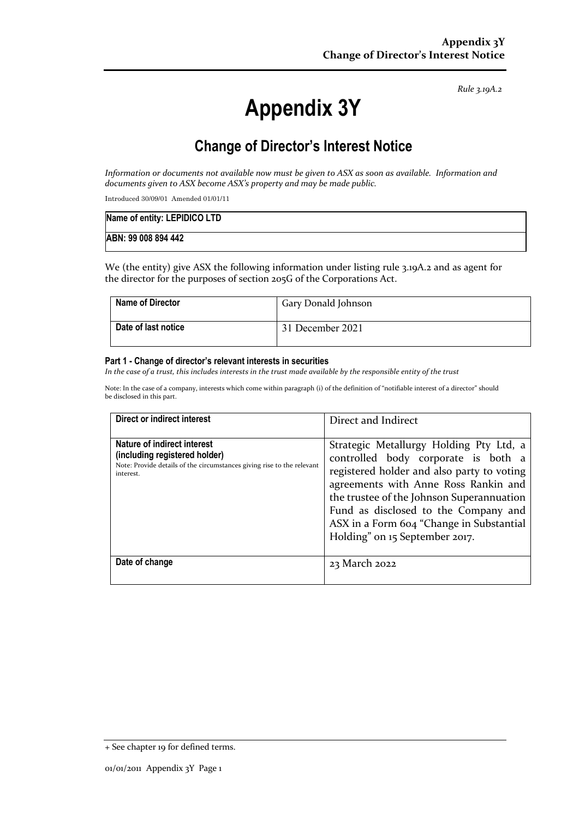*Rule 3.19A.2*

# **Appendix 3Y**

## **Change of Director's Interest Notice**

*Information or documents not available now must be given to ASX as soon as available. Information and documents given to ASX become ASX's property and may be made public.*

Introduced 30/09/01 Amended 01/01/11

| Name of entity: LEPIDICO LTD |  |
|------------------------------|--|
| ABN: 99 008 894 442          |  |

We (the entity) give ASX the following information under listing rule 3.19A.2 and as agent for the director for the purposes of section 205G of the Corporations Act.

| <b>Name of Director</b> | Gary Donald Johnson |
|-------------------------|---------------------|
| Date of last notice     | 31 December 2021    |

#### **Part 1 - Change of director's relevant interests in securities**

*In the case of a trust, this includes interests in the trust made available by the responsible entity of the trust*

Note: In the case of a company, interests which come within paragraph (i) of the definition of "notifiable interest of a director" should be disclosed in this part.

| Direct or indirect interest                                                                                                                         | Direct and Indirect                                                                                                                                                                                                                                                                                                                     |
|-----------------------------------------------------------------------------------------------------------------------------------------------------|-----------------------------------------------------------------------------------------------------------------------------------------------------------------------------------------------------------------------------------------------------------------------------------------------------------------------------------------|
| Nature of indirect interest<br>(including registered holder)<br>Note: Provide details of the circumstances giving rise to the relevant<br>interest. | Strategic Metallurgy Holding Pty Ltd, a<br>controlled body corporate is both a<br>registered holder and also party to voting<br>agreements with Anne Ross Rankin and<br>the trustee of the Johnson Superannuation<br>Fund as disclosed to the Company and<br>ASX in a Form 604 "Change in Substantial<br>Holding" on 15 September 2017. |
| Date of change                                                                                                                                      | 23 March 2022                                                                                                                                                                                                                                                                                                                           |

<sup>+</sup> See chapter 19 for defined terms.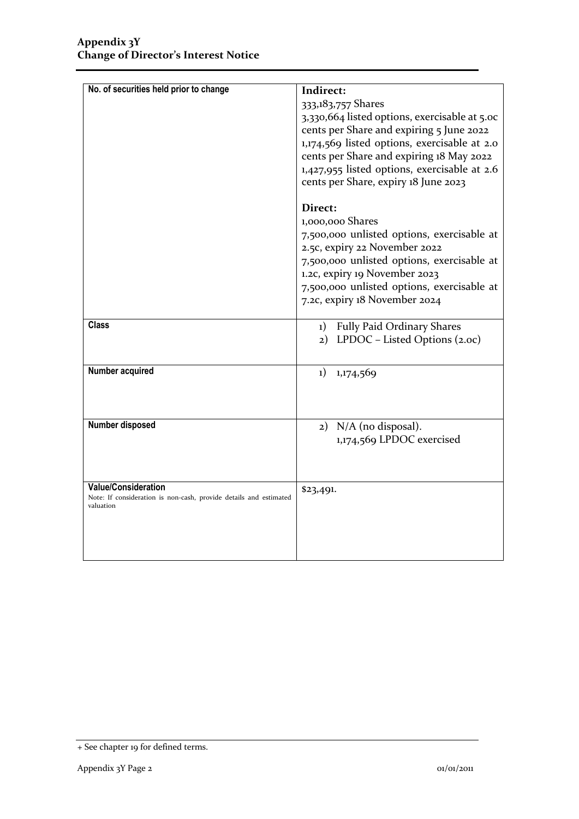| No. of securities held prior to change                                         | Indirect:                                                                            |
|--------------------------------------------------------------------------------|--------------------------------------------------------------------------------------|
|                                                                                | 333,183,757 Shares                                                                   |
|                                                                                | 3,330,664 listed options, exercisable at 5.00                                        |
|                                                                                | cents per Share and expiring 5 June 2022                                             |
|                                                                                | 1,174,569 listed options, exercisable at 2.0                                         |
|                                                                                | cents per Share and expiring 18 May 2022                                             |
|                                                                                | 1,427,955 listed options, exercisable at 2.6<br>cents per Share, expiry 18 June 2023 |
|                                                                                |                                                                                      |
|                                                                                | Direct:                                                                              |
|                                                                                | 1,000,000 Shares                                                                     |
|                                                                                | 7,500,000 unlisted options, exercisable at                                           |
|                                                                                | 2.5c, expiry 22 November 2022                                                        |
|                                                                                | 7,500,000 unlisted options, exercisable at                                           |
|                                                                                | 1.2c, expiry 19 November 2023<br>7,500,000 unlisted options, exercisable at          |
|                                                                                | 7.2c, expiry 18 November 2024                                                        |
|                                                                                |                                                                                      |
| <b>Class</b>                                                                   | 1) Fully Paid Ordinary Shares                                                        |
|                                                                                | 2) LPDOC - Listed Options (2.oc)                                                     |
|                                                                                |                                                                                      |
| Number acquired                                                                | $_{1})$<br>1,174,569                                                                 |
|                                                                                |                                                                                      |
|                                                                                |                                                                                      |
| Number disposed                                                                | 2) N/A (no disposal).                                                                |
|                                                                                | 1,174,569 LPDOC exercised                                                            |
|                                                                                |                                                                                      |
|                                                                                |                                                                                      |
| <b>Value/Consideration</b>                                                     | \$23,491.                                                                            |
| Note: If consideration is non-cash, provide details and estimated<br>valuation |                                                                                      |
|                                                                                |                                                                                      |
|                                                                                |                                                                                      |
|                                                                                |                                                                                      |
|                                                                                |                                                                                      |

<sup>+</sup> See chapter 19 for defined terms.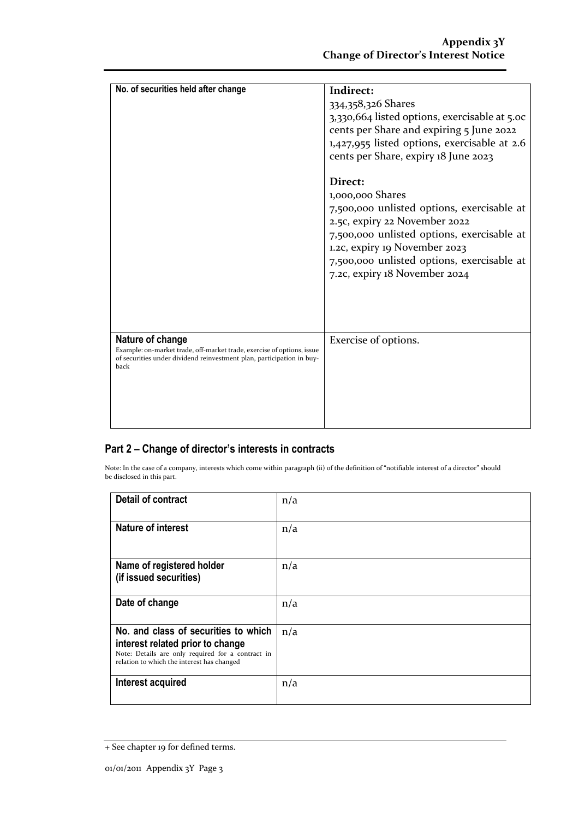| No. of securities held after change                                                                                                                                         | Indirect:<br>334,358,326 Shares<br>3,330,664 listed options, exercisable at 5.0c<br>cents per Share and expiring 5 June 2022<br>1,427,955 listed options, exercisable at 2.6<br>cents per Share, expiry 18 June 2023<br>Direct:<br>1,000,000 Shares<br>7,500,000 unlisted options, exercisable at<br>2.5c, expiry 22 November 2022<br>7,500,000 unlisted options, exercisable at<br>1.2c, expiry 19 November 2023<br>7,500,000 unlisted options, exercisable at<br>7.2c, expiry 18 November 2024 |
|-----------------------------------------------------------------------------------------------------------------------------------------------------------------------------|--------------------------------------------------------------------------------------------------------------------------------------------------------------------------------------------------------------------------------------------------------------------------------------------------------------------------------------------------------------------------------------------------------------------------------------------------------------------------------------------------|
| Nature of change<br>Example: on-market trade, off-market trade, exercise of options, issue<br>of securities under dividend reinvestment plan, participation in buy-<br>back | Exercise of options.                                                                                                                                                                                                                                                                                                                                                                                                                                                                             |

### **Part 2 – Change of director's interests in contracts**

Note: In the case of a company, interests which come within paragraph (ii) of the definition of "notifiable interest of a director" should be disclosed in this part.

| <b>Detail of contract</b>                                                                                                                                                   | n/a |
|-----------------------------------------------------------------------------------------------------------------------------------------------------------------------------|-----|
| <b>Nature of interest</b>                                                                                                                                                   | n/a |
| Name of registered holder<br>(if issued securities)                                                                                                                         | n/a |
| Date of change                                                                                                                                                              | n/a |
| No. and class of securities to which<br>interest related prior to change<br>Note: Details are only required for a contract in<br>relation to which the interest has changed | n/a |
| Interest acquired                                                                                                                                                           | n/a |

<sup>+</sup> See chapter 19 for defined terms.